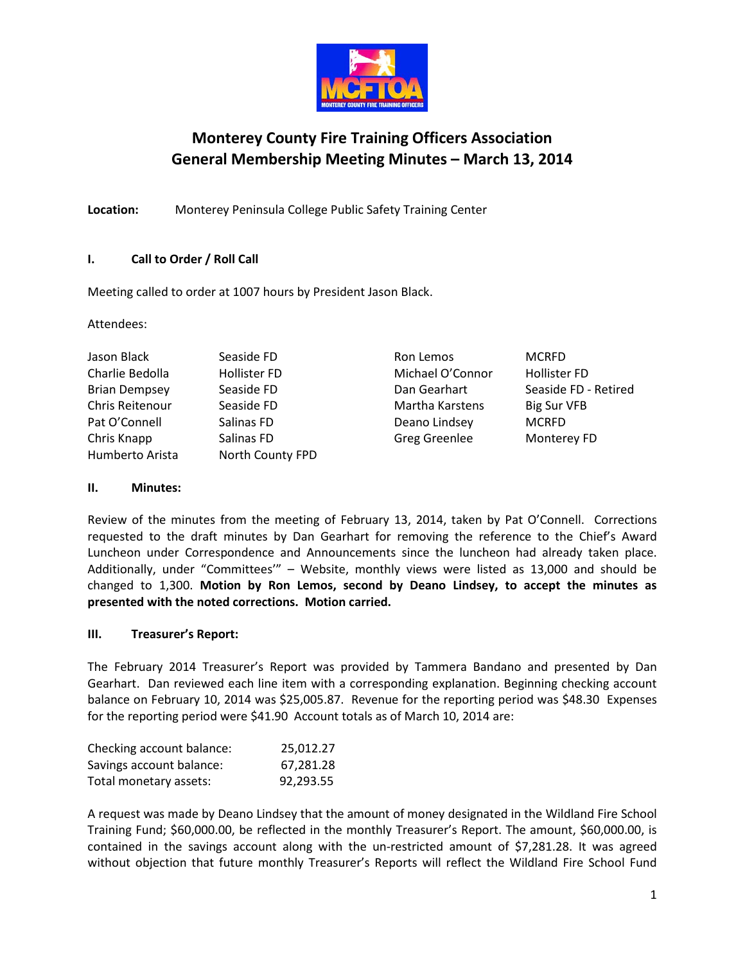

# **Monterey County Fire Training Officers Association General Membership Meeting Minutes – March 13, 2014**

**Location:** Monterey Peninsula College Public Safety Training Center

# **I. Call to Order / Roll Call**

Meeting called to order at 1007 hours by President Jason Black.

Attendees:

Jason Black **Seaside FD** Ron Lemos MCRFD Charlie Bedolla Hollister FD Michael O'Connor Hollister FD Brian Dempsey Seaside FD Dan Gearhart Seaside FD - Retired Chris Reitenour Seaside FD Martha Karstens Big Sur VFB Pat O'Connell Salinas FD Deano Lindsey MCRFD Chris Knapp Salinas FD Greg Greenlee Monterey FD Greg Greenlee Humberto Arista North County FPD

# **II. Minutes:**

Review of the minutes from the meeting of February 13, 2014, taken by Pat O'Connell. Corrections requested to the draft minutes by Dan Gearhart for removing the reference to the Chief's Award Luncheon under Correspondence and Announcements since the luncheon had already taken place. Additionally, under "Committees'" – Website, monthly views were listed as 13,000 and should be changed to 1,300. **Motion by Ron Lemos, second by Deano Lindsey, to accept the minutes as presented with the noted corrections. Motion carried.**

## **III. Treasurer's Report:**

The February 2014 Treasurer's Report was provided by Tammera Bandano and presented by Dan Gearhart. Dan reviewed each line item with a corresponding explanation. Beginning checking account balance on February 10, 2014 was \$25,005.87. Revenue for the reporting period was \$48.30 Expenses for the reporting period were \$41.90 Account totals as of March 10, 2014 are:

| Checking account balance: | 25,012.27 |
|---------------------------|-----------|
| Savings account balance:  | 67,281.28 |
| Total monetary assets:    | 92,293.55 |

A request was made by Deano Lindsey that the amount of money designated in the Wildland Fire School Training Fund; \$60,000.00, be reflected in the monthly Treasurer's Report. The amount, \$60,000.00, is contained in the savings account along with the un-restricted amount of \$7,281.28. It was agreed without objection that future monthly Treasurer's Reports will reflect the Wildland Fire School Fund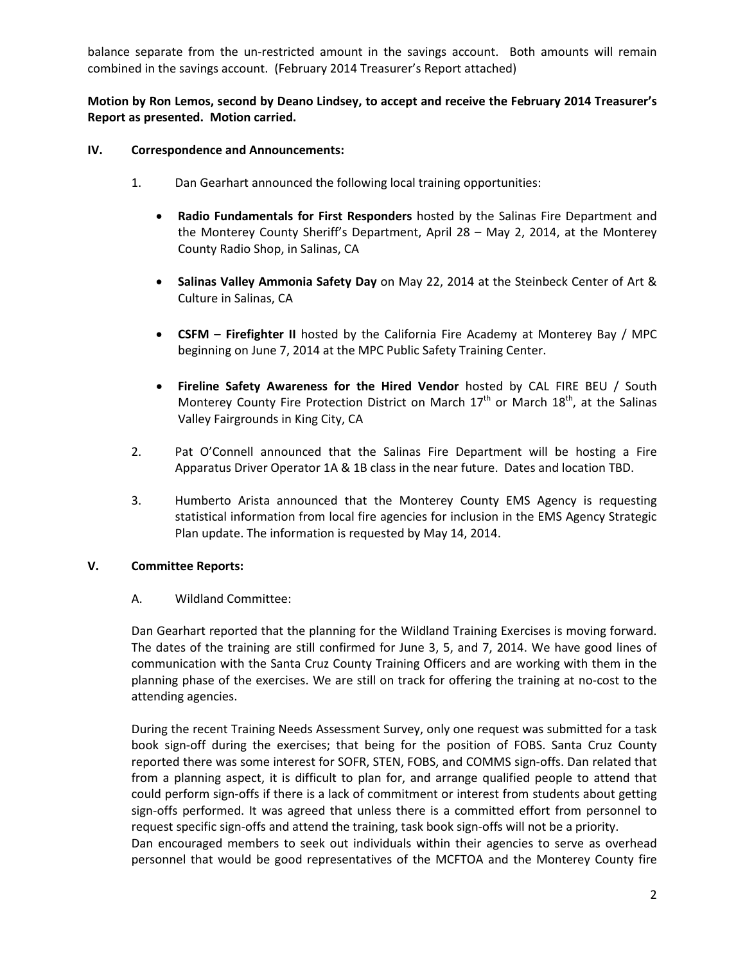balance separate from the un-restricted amount in the savings account. Both amounts will remain combined in the savings account. (February 2014 Treasurer's Report attached)

## **Motion by Ron Lemos, second by Deano Lindsey, to accept and receive the February 2014 Treasurer's Report as presented. Motion carried.**

## **IV. Correspondence and Announcements:**

- 1. Dan Gearhart announced the following local training opportunities:
	- **Radio Fundamentals for First Responders** hosted by the Salinas Fire Department and the Monterey County Sheriff's Department, April 28 – May 2, 2014, at the Monterey County Radio Shop, in Salinas, CA
	- **Salinas Valley Ammonia Safety Day** on May 22, 2014 at the Steinbeck Center of Art & Culture in Salinas, CA
	- **CSFM – Firefighter II** hosted by the California Fire Academy at Monterey Bay / MPC beginning on June 7, 2014 at the MPC Public Safety Training Center.
	- **Fireline Safety Awareness for the Hired Vendor** hosted by CAL FIRE BEU / South Monterey County Fire Protection District on March  $17<sup>th</sup>$  or March  $18<sup>th</sup>$ , at the Salinas Valley Fairgrounds in King City, CA
- 2. Pat O'Connell announced that the Salinas Fire Department will be hosting a Fire Apparatus Driver Operator 1A & 1B class in the near future. Dates and location TBD.
- 3. Humberto Arista announced that the Monterey County EMS Agency is requesting statistical information from local fire agencies for inclusion in the EMS Agency Strategic Plan update. The information is requested by May 14, 2014.

## **V. Committee Reports:**

## A. Wildland Committee:

Dan Gearhart reported that the planning for the Wildland Training Exercises is moving forward. The dates of the training are still confirmed for June 3, 5, and 7, 2014. We have good lines of communication with the Santa Cruz County Training Officers and are working with them in the planning phase of the exercises. We are still on track for offering the training at no-cost to the attending agencies.

During the recent Training Needs Assessment Survey, only one request was submitted for a task book sign-off during the exercises; that being for the position of FOBS. Santa Cruz County reported there was some interest for SOFR, STEN, FOBS, and COMMS sign-offs. Dan related that from a planning aspect, it is difficult to plan for, and arrange qualified people to attend that could perform sign-offs if there is a lack of commitment or interest from students about getting sign-offs performed. It was agreed that unless there is a committed effort from personnel to request specific sign-offs and attend the training, task book sign-offs will not be a priority. Dan encouraged members to seek out individuals within their agencies to serve as overhead personnel that would be good representatives of the MCFTOA and the Monterey County fire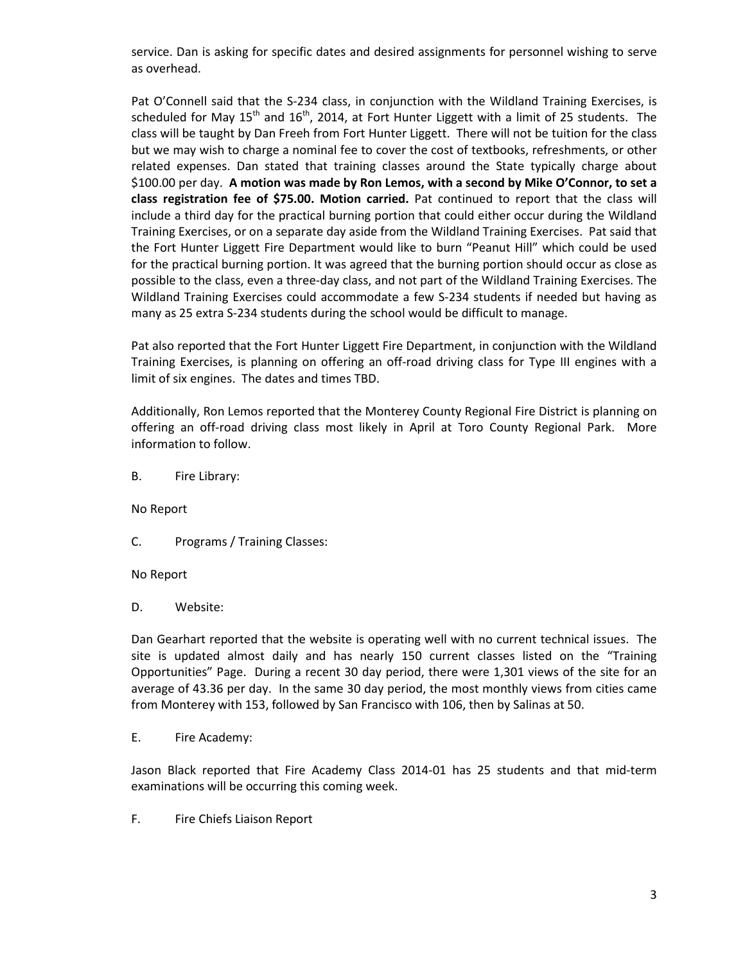service. Dan is asking for specific dates and desired assignments for personnel wishing to serve as overhead.

Pat O'Connell said that the S-234 class, in conjunction with the Wildland Training Exercises, is scheduled for May  $15<sup>th</sup>$  and  $16<sup>th</sup>$ , 2014, at Fort Hunter Liggett with a limit of 25 students. The class will be taught by Dan Freeh from Fort Hunter Liggett. There will not be tuition for the class but we may wish to charge a nominal fee to cover the cost of textbooks, refreshments, or other related expenses. Dan stated that training classes around the State typically charge about \$100.00 per day. **A motion was made by Ron Lemos, with a second by Mike O'Connor, to set a class registration fee of \$75.00. Motion carried.** Pat continued to report that the class will include a third day for the practical burning portion that could either occur during the Wildland Training Exercises, or on a separate day aside from the Wildland Training Exercises. Pat said that the Fort Hunter Liggett Fire Department would like to burn "Peanut Hill" which could be used for the practical burning portion. It was agreed that the burning portion should occur as close as possible to the class, even a three-day class, and not part of the Wildland Training Exercises. The Wildland Training Exercises could accommodate a few S-234 students if needed but having as many as 25 extra S-234 students during the school would be difficult to manage.

Pat also reported that the Fort Hunter Liggett Fire Department, in conjunction with the Wildland Training Exercises, is planning on offering an off-road driving class for Type III engines with a limit of six engines. The dates and times TBD.

Additionally, Ron Lemos reported that the Monterey County Regional Fire District is planning on offering an off-road driving class most likely in April at Toro County Regional Park. More information to follow.

B. Fire Library:

No Report

C. Programs / Training Classes:

No Report

D. Website:

Dan Gearhart reported that the website is operating well with no current technical issues. The site is updated almost daily and has nearly 150 current classes listed on the "Training Opportunities" Page. During a recent 30 day period, there were 1,301 views of the site for an average of 43.36 per day. In the same 30 day period, the most monthly views from cities came from Monterey with 153, followed by San Francisco with 106, then by Salinas at 50.

E. Fire Academy:

Jason Black reported that Fire Academy Class 2014-01 has 25 students and that mid-term examinations will be occurring this coming week.

F. Fire Chiefs Liaison Report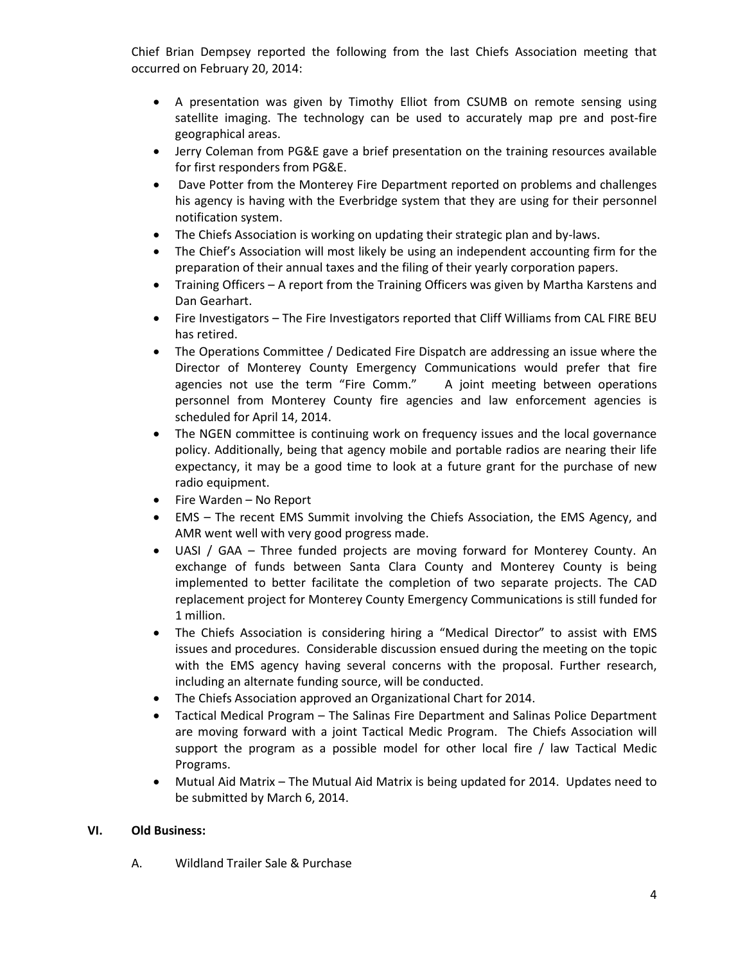Chief Brian Dempsey reported the following from the last Chiefs Association meeting that occurred on February 20, 2014:

- A presentation was given by Timothy Elliot from CSUMB on remote sensing using satellite imaging. The technology can be used to accurately map pre and post-fire geographical areas.
- Jerry Coleman from PG&E gave a brief presentation on the training resources available for first responders from PG&E.
- Dave Potter from the Monterey Fire Department reported on problems and challenges his agency is having with the Everbridge system that they are using for their personnel notification system.
- The Chiefs Association is working on updating their strategic plan and by-laws.
- The Chief's Association will most likely be using an independent accounting firm for the preparation of their annual taxes and the filing of their yearly corporation papers.
- Training Officers A report from the Training Officers was given by Martha Karstens and Dan Gearhart.
- Fire Investigators The Fire Investigators reported that Cliff Williams from CAL FIRE BEU has retired.
- The Operations Committee / Dedicated Fire Dispatch are addressing an issue where the Director of Monterey County Emergency Communications would prefer that fire agencies not use the term "Fire Comm." A joint meeting between operations personnel from Monterey County fire agencies and law enforcement agencies is scheduled for April 14, 2014.
- The NGEN committee is continuing work on frequency issues and the local governance policy. Additionally, being that agency mobile and portable radios are nearing their life expectancy, it may be a good time to look at a future grant for the purchase of new radio equipment.
- Fire Warden No Report
- EMS The recent EMS Summit involving the Chiefs Association, the EMS Agency, and AMR went well with very good progress made.
- UASI / GAA Three funded projects are moving forward for Monterey County. An exchange of funds between Santa Clara County and Monterey County is being implemented to better facilitate the completion of two separate projects. The CAD replacement project for Monterey County Emergency Communications is still funded for 1 million.
- The Chiefs Association is considering hiring a "Medical Director" to assist with EMS issues and procedures. Considerable discussion ensued during the meeting on the topic with the EMS agency having several concerns with the proposal. Further research, including an alternate funding source, will be conducted.
- The Chiefs Association approved an Organizational Chart for 2014.
- Tactical Medical Program The Salinas Fire Department and Salinas Police Department are moving forward with a joint Tactical Medic Program. The Chiefs Association will support the program as a possible model for other local fire / law Tactical Medic Programs.
- Mutual Aid Matrix The Mutual Aid Matrix is being updated for 2014. Updates need to be submitted by March 6, 2014.

# **VI. Old Business:**

A. Wildland Trailer Sale & Purchase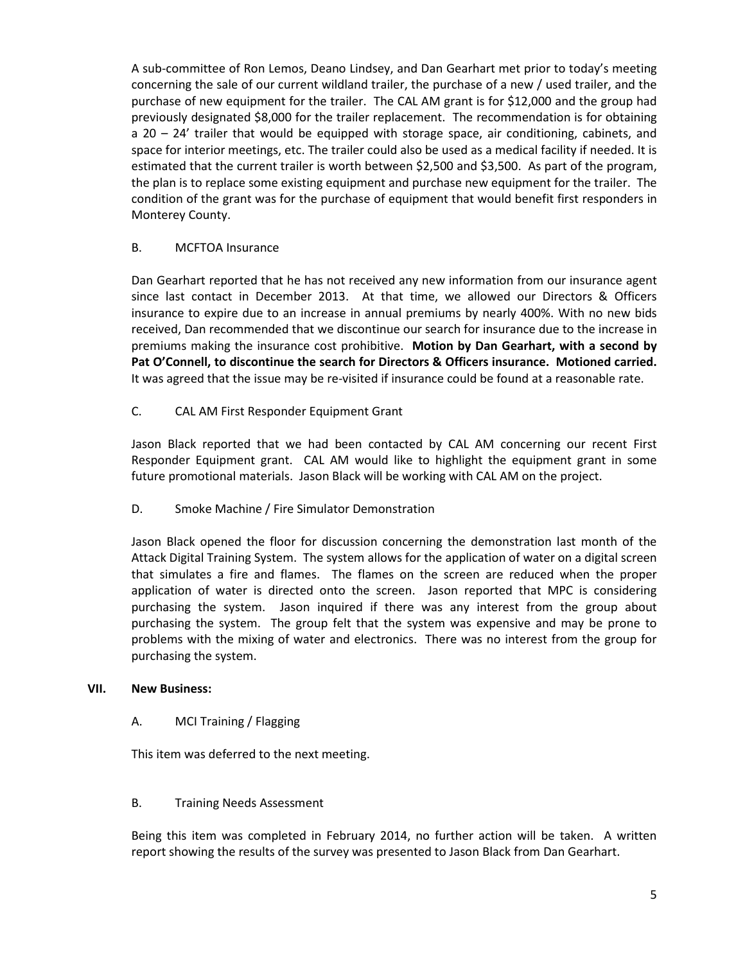A sub-committee of Ron Lemos, Deano Lindsey, and Dan Gearhart met prior to today's meeting concerning the sale of our current wildland trailer, the purchase of a new / used trailer, and the purchase of new equipment for the trailer. The CAL AM grant is for \$12,000 and the group had previously designated \$8,000 for the trailer replacement. The recommendation is for obtaining a 20 – 24' trailer that would be equipped with storage space, air conditioning, cabinets, and space for interior meetings, etc. The trailer could also be used as a medical facility if needed. It is estimated that the current trailer is worth between \$2,500 and \$3,500. As part of the program, the plan is to replace some existing equipment and purchase new equipment for the trailer. The condition of the grant was for the purchase of equipment that would benefit first responders in Monterey County.

## B. MCFTOA Insurance

Dan Gearhart reported that he has not received any new information from our insurance agent since last contact in December 2013. At that time, we allowed our Directors & Officers insurance to expire due to an increase in annual premiums by nearly 400%. With no new bids received, Dan recommended that we discontinue our search for insurance due to the increase in premiums making the insurance cost prohibitive. **Motion by Dan Gearhart, with a second by Pat O'Connell, to discontinue the search for Directors & Officers insurance. Motioned carried.** It was agreed that the issue may be re-visited if insurance could be found at a reasonable rate.

# C. CAL AM First Responder Equipment Grant

Jason Black reported that we had been contacted by CAL AM concerning our recent First Responder Equipment grant. CAL AM would like to highlight the equipment grant in some future promotional materials. Jason Black will be working with CAL AM on the project.

## D. Smoke Machine / Fire Simulator Demonstration

Jason Black opened the floor for discussion concerning the demonstration last month of the Attack Digital Training System. The system allows for the application of water on a digital screen that simulates a fire and flames. The flames on the screen are reduced when the proper application of water is directed onto the screen. Jason reported that MPC is considering purchasing the system. Jason inquired if there was any interest from the group about purchasing the system. The group felt that the system was expensive and may be prone to problems with the mixing of water and electronics. There was no interest from the group for purchasing the system.

## **VII. New Business:**

## A. MCI Training / Flagging

This item was deferred to the next meeting.

## B. Training Needs Assessment

Being this item was completed in February 2014, no further action will be taken. A written report showing the results of the survey was presented to Jason Black from Dan Gearhart.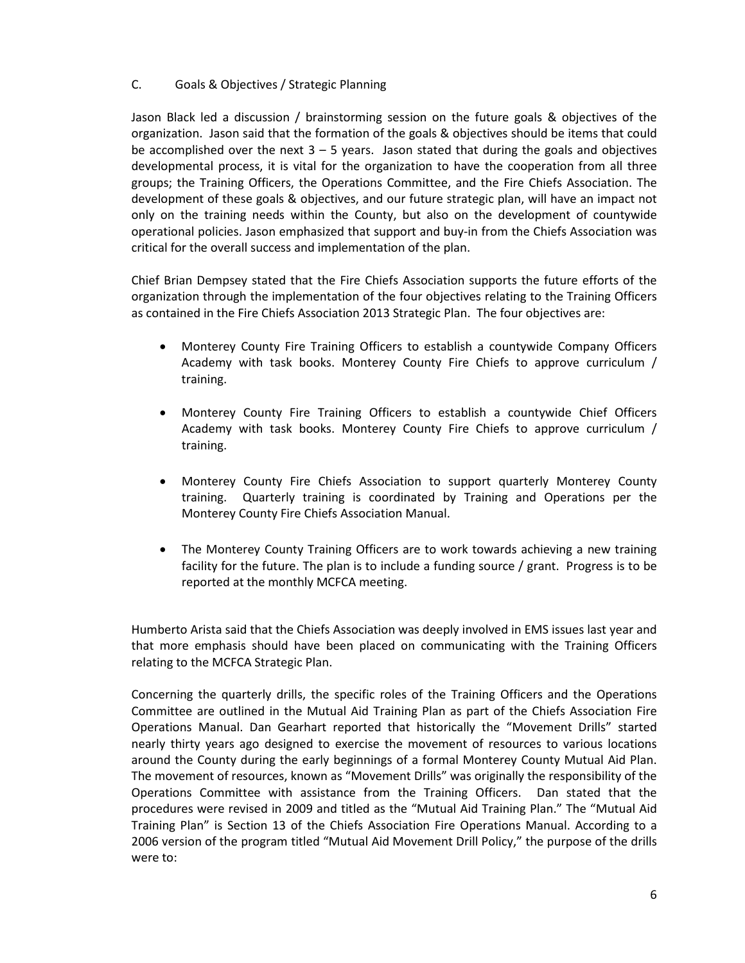## C. Goals & Objectives / Strategic Planning

Jason Black led a discussion / brainstorming session on the future goals & objectives of the organization. Jason said that the formation of the goals & objectives should be items that could be accomplished over the next  $3 - 5$  years. Jason stated that during the goals and objectives developmental process, it is vital for the organization to have the cooperation from all three groups; the Training Officers, the Operations Committee, and the Fire Chiefs Association. The development of these goals & objectives, and our future strategic plan, will have an impact not only on the training needs within the County, but also on the development of countywide operational policies. Jason emphasized that support and buy-in from the Chiefs Association was critical for the overall success and implementation of the plan.

Chief Brian Dempsey stated that the Fire Chiefs Association supports the future efforts of the organization through the implementation of the four objectives relating to the Training Officers as contained in the Fire Chiefs Association 2013 Strategic Plan. The four objectives are:

- Monterey County Fire Training Officers to establish a countywide Company Officers Academy with task books. Monterey County Fire Chiefs to approve curriculum / training.
- Monterey County Fire Training Officers to establish a countywide Chief Officers Academy with task books. Monterey County Fire Chiefs to approve curriculum / training.
- Monterey County Fire Chiefs Association to support quarterly Monterey County training. Quarterly training is coordinated by Training and Operations per the Monterey County Fire Chiefs Association Manual.
- The Monterey County Training Officers are to work towards achieving a new training facility for the future. The plan is to include a funding source / grant. Progress is to be reported at the monthly MCFCA meeting.

Humberto Arista said that the Chiefs Association was deeply involved in EMS issues last year and that more emphasis should have been placed on communicating with the Training Officers relating to the MCFCA Strategic Plan.

Concerning the quarterly drills, the specific roles of the Training Officers and the Operations Committee are outlined in the Mutual Aid Training Plan as part of the Chiefs Association Fire Operations Manual. Dan Gearhart reported that historically the "Movement Drills" started nearly thirty years ago designed to exercise the movement of resources to various locations around the County during the early beginnings of a formal Monterey County Mutual Aid Plan. The movement of resources, known as "Movement Drills" was originally the responsibility of the Operations Committee with assistance from the Training Officers. Dan stated that the procedures were revised in 2009 and titled as the "Mutual Aid Training Plan." The "Mutual Aid Training Plan" is Section 13 of the Chiefs Association Fire Operations Manual. According to a 2006 version of the program titled "Mutual Aid Movement Drill Policy," the purpose of the drills were to: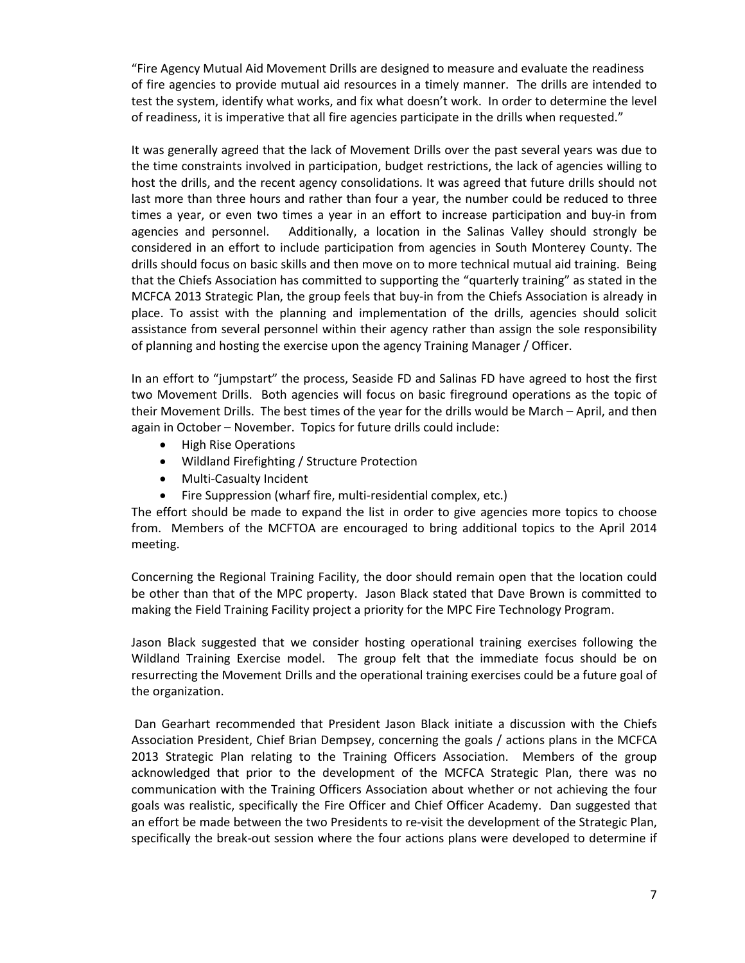"Fire Agency Mutual Aid Movement Drills are designed to measure and evaluate the readiness of fire agencies to provide mutual aid resources in a timely manner. The drills are intended to test the system, identify what works, and fix what doesn't work. In order to determine the level of readiness, it is imperative that all fire agencies participate in the drills when requested."

It was generally agreed that the lack of Movement Drills over the past several years was due to the time constraints involved in participation, budget restrictions, the lack of agencies willing to host the drills, and the recent agency consolidations. It was agreed that future drills should not last more than three hours and rather than four a year, the number could be reduced to three times a year, or even two times a year in an effort to increase participation and buy-in from agencies and personnel. Additionally, a location in the Salinas Valley should strongly be considered in an effort to include participation from agencies in South Monterey County. The drills should focus on basic skills and then move on to more technical mutual aid training. Being that the Chiefs Association has committed to supporting the "quarterly training" as stated in the MCFCA 2013 Strategic Plan, the group feels that buy-in from the Chiefs Association is already in place. To assist with the planning and implementation of the drills, agencies should solicit assistance from several personnel within their agency rather than assign the sole responsibility of planning and hosting the exercise upon the agency Training Manager / Officer.

In an effort to "jumpstart" the process, Seaside FD and Salinas FD have agreed to host the first two Movement Drills. Both agencies will focus on basic fireground operations as the topic of their Movement Drills. The best times of the year for the drills would be March – April, and then again in October – November. Topics for future drills could include:

- High Rise Operations
- Wildland Firefighting / Structure Protection
- Multi-Casualty Incident
- Fire Suppression (wharf fire, multi-residential complex, etc.)

The effort should be made to expand the list in order to give agencies more topics to choose from. Members of the MCFTOA are encouraged to bring additional topics to the April 2014 meeting.

Concerning the Regional Training Facility, the door should remain open that the location could be other than that of the MPC property. Jason Black stated that Dave Brown is committed to making the Field Training Facility project a priority for the MPC Fire Technology Program.

Jason Black suggested that we consider hosting operational training exercises following the Wildland Training Exercise model. The group felt that the immediate focus should be on resurrecting the Movement Drills and the operational training exercises could be a future goal of the organization.

Dan Gearhart recommended that President Jason Black initiate a discussion with the Chiefs Association President, Chief Brian Dempsey, concerning the goals / actions plans in the MCFCA 2013 Strategic Plan relating to the Training Officers Association. Members of the group acknowledged that prior to the development of the MCFCA Strategic Plan, there was no communication with the Training Officers Association about whether or not achieving the four goals was realistic, specifically the Fire Officer and Chief Officer Academy. Dan suggested that an effort be made between the two Presidents to re-visit the development of the Strategic Plan, specifically the break-out session where the four actions plans were developed to determine if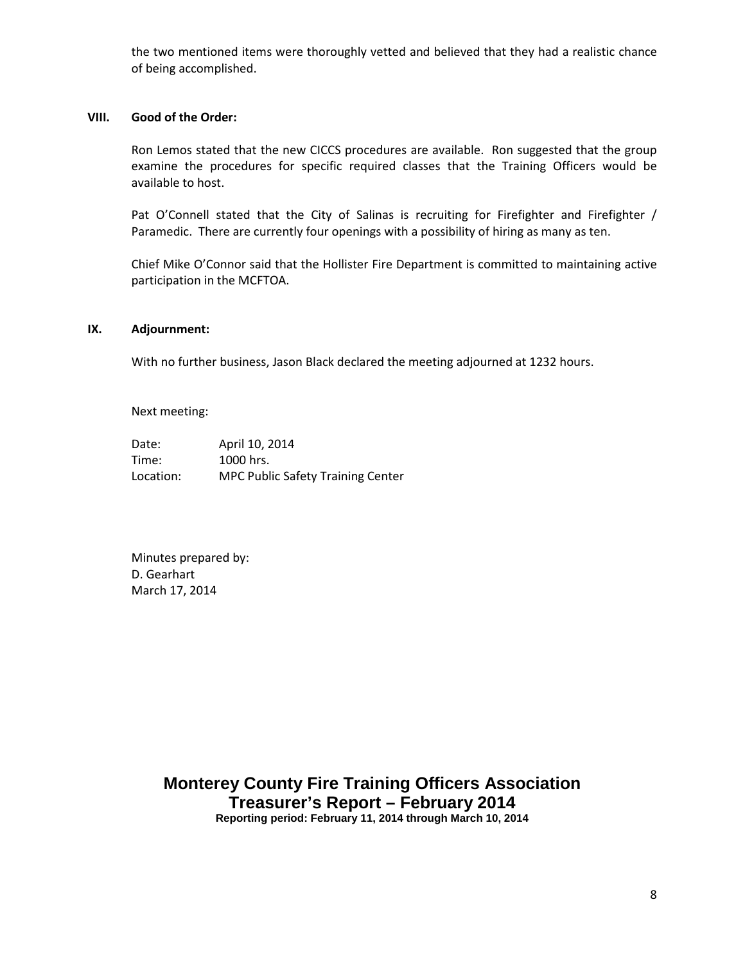the two mentioned items were thoroughly vetted and believed that they had a realistic chance of being accomplished.

## **VIII. Good of the Order:**

Ron Lemos stated that the new CICCS procedures are available. Ron suggested that the group examine the procedures for specific required classes that the Training Officers would be available to host.

Pat O'Connell stated that the City of Salinas is recruiting for Firefighter and Firefighter / Paramedic. There are currently four openings with a possibility of hiring as many as ten.

Chief Mike O'Connor said that the Hollister Fire Department is committed to maintaining active participation in the MCFTOA.

#### **IX. Adjournment:**

With no further business, Jason Black declared the meeting adjourned at 1232 hours.

Next meeting:

Date: April 10, 2014 Time: 1000 hrs. Location: MPC Public Safety Training Center

Minutes prepared by: D. Gearhart March 17, 2014

> **Monterey County Fire Training Officers Association Treasurer's Report – February 2014 Reporting period: February 11, 2014 through March 10, 2014**